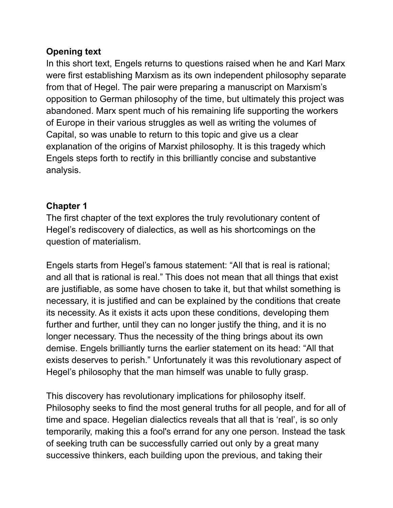## **Opening text**

In this short text, Engels returns to questions raised when he and Karl Marx were first establishing Marxism as its own independent philosophy separate from that of Hegel. The pair were preparing a manuscript on Marxism's opposition to German philosophy of the time, but ultimately this project was abandoned. Marx spent much of his remaining life supporting the workers of Europe in their various struggles as well as writing the volumes of Capital, so was unable to return to this topic and give us a clear explanation of the origins of Marxist philosophy. It is this tragedy which Engels steps forth to rectify in this brilliantly concise and substantive analysis.

### **Chapter 1**

The first chapter of the text explores the truly revolutionary content of Hegel's rediscovery of dialectics, as well as his shortcomings on the question of materialism.

Engels starts from Hegel's famous statement: "All that is real is rational; and all that is rational is real." This does not mean that all things that exist are justifiable, as some have chosen to take it, but that whilst something is necessary, it is justified and can be explained by the conditions that create its necessity. As it exists it acts upon these conditions, developing them further and further, until they can no longer justify the thing, and it is no longer necessary. Thus the necessity of the thing brings about its own demise. Engels brilliantly turns the earlier statement on its head: "All that exists deserves to perish." Unfortunately it was this revolutionary aspect of Hegel's philosophy that the man himself was unable to fully grasp.

This discovery has revolutionary implications for philosophy itself. Philosophy seeks to find the most general truths for all people, and for all of time and space. Hegelian dialectics reveals that all that is 'real', is so only temporarily, making this a fool's errand for any one person. Instead the task of seeking truth can be successfully carried out only by a great many successive thinkers, each building upon the previous, and taking their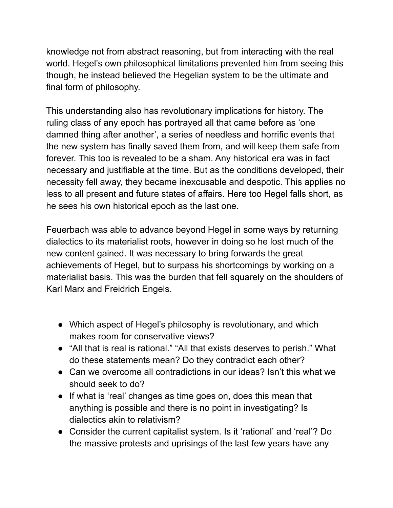knowledge not from abstract reasoning, but from interacting with the real world. Hegel's own philosophical limitations prevented him from seeing this though, he instead believed the Hegelian system to be the ultimate and final form of philosophy.

This understanding also has revolutionary implications for history. The ruling class of any epoch has portrayed all that came before as 'one damned thing after another', a series of needless and horrific events that the new system has finally saved them from, and will keep them safe from forever. This too is revealed to be a sham. Any historical era was in fact necessary and justifiable at the time. But as the conditions developed, their necessity fell away, they became inexcusable and despotic. This applies no less to all present and future states of affairs. Here too Hegel falls short, as he sees his own historical epoch as the last one.

Feuerbach was able to advance beyond Hegel in some ways by returning dialectics to its materialist roots, however in doing so he lost much of the new content gained. It was necessary to bring forwards the great achievements of Hegel, but to surpass his shortcomings by working on a materialist basis. This was the burden that fell squarely on the shoulders of Karl Marx and Freidrich Engels.

- Which aspect of Hegel's philosophy is revolutionary, and which makes room for conservative views?
- "All that is real is rational." "All that exists deserves to perish." What do these statements mean? Do they contradict each other?
- Can we overcome all contradictions in our ideas? Isn't this what we should seek to do?
- If what is 'real' changes as time goes on, does this mean that anything is possible and there is no point in investigating? Is dialectics akin to relativism?
- Consider the current capitalist system. Is it 'rational' and 'real'? Do the massive protests and uprisings of the last few years have any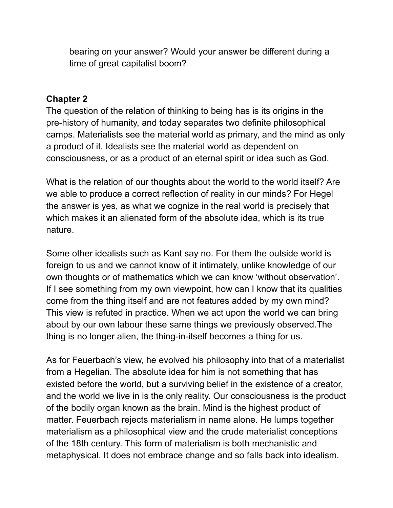bearing on your answer? Would your answer be different during a time of great capitalist boom?

#### **Chapter 2**

The question of the relation of thinking to being has is its origins in the pre-history of humanity, and today separates two definite philosophical camps. Materialists see the material world as primary, and the mind as only a product of it. Idealists see the material world as dependent on consciousness, or as a product of an eternal spirit or idea such as God.

What is the relation of our thoughts about the world to the world itself? Are we able to produce a correct reflection of reality in our minds? For Hegel the answer is yes, as what we cognize in the real world is precisely that which makes it an alienated form of the absolute idea, which is its true nature.

Some other idealists such as Kant say no. For them the outside world is foreign to us and we cannot know of it intimately, unlike knowledge of our own thoughts or of mathematics which we can know 'without observation'. If I see something from my own viewpoint, how can I know that its qualities come from the thing itself and are not features added by my own mind? This view is refuted in practice. When we act upon the world we can bring about by our own labour these same things we previously observed.The thing is no longer alien, the thing-in-itself becomes a thing for us.

As for Feuerbach's view, he evolved his philosophy into that of a materialist from a Hegelian. The absolute idea for him is not something that has existed before the world, but a surviving belief in the existence of a creator, and the world we live in is the only reality. Our consciousness is the product of the bodily organ known as the brain. Mind is the highest product of matter. Feuerbach rejects materialism in name alone. He lumps together materialism as a philosophical view and the crude materialist conceptions of the 18th century. This form of materialism is both mechanistic and metaphysical. It does not embrace change and so falls back into idealism.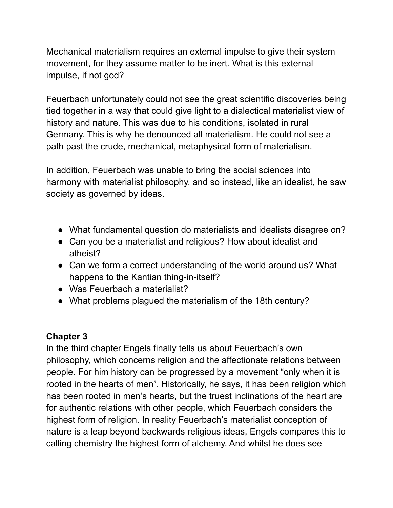Mechanical materialism requires an external impulse to give their system movement, for they assume matter to be inert. What is this external impulse, if not god?

Feuerbach unfortunately could not see the great scientific discoveries being tied together in a way that could give light to a dialectical materialist view of history and nature. This was due to his conditions, isolated in rural Germany. This is why he denounced all materialism. He could not see a path past the crude, mechanical, metaphysical form of materialism.

In addition, Feuerbach was unable to bring the social sciences into harmony with materialist philosophy, and so instead, like an idealist, he saw society as governed by ideas.

- What fundamental question do materialists and idealists disagree on?
- Can you be a materialist and religious? How about idealist and atheist?
- Can we form a correct understanding of the world around us? What happens to the Kantian thing-in-itself?
- Was Feuerbach a materialist?
- What problems plagued the materialism of the 18th century?

# **Chapter 3**

In the third chapter Engels finally tells us about Feuerbach's own philosophy, which concerns religion and the affectionate relations between people. For him history can be progressed by a movement "only when it is rooted in the hearts of men". Historically, he says, it has been religion which has been rooted in men's hearts, but the truest inclinations of the heart are for authentic relations with other people, which Feuerbach considers the highest form of religion. In reality Feuerbach's materialist conception of nature is a leap beyond backwards religious ideas, Engels compares this to calling chemistry the highest form of alchemy. And whilst he does see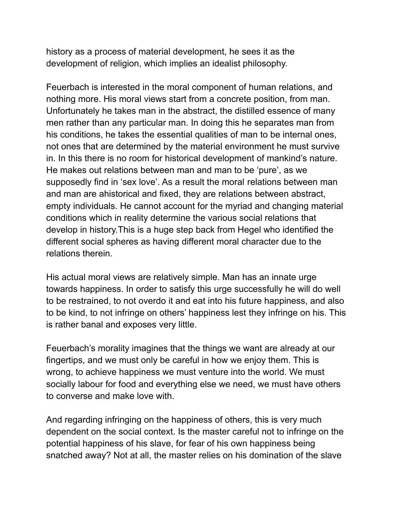history as a process of material development, he sees it as the development of religion, which implies an idealist philosophy.

Feuerbach is interested in the moral component of human relations, and nothing more. His moral views start from a concrete position, from man. Unfortunately he takes man in the abstract, the distilled essence of many men rather than any particular man. In doing this he separates man from his conditions, he takes the essential qualities of man to be internal ones, not ones that are determined by the material environment he must survive in. In this there is no room for historical development of mankind's nature. He makes out relations between man and man to be 'pure', as we supposedly find in 'sex love'. As a result the moral relations between man and man are ahistorical and fixed, they are relations between abstract, empty individuals. He cannot account for the myriad and changing material conditions which in reality determine the various social relations that develop in history.This is a huge step back from Hegel who identified the different social spheres as having different moral character due to the relations therein.

His actual moral views are relatively simple. Man has an innate urge towards happiness. In order to satisfy this urge successfully he will do well to be restrained, to not overdo it and eat into his future happiness, and also to be kind, to not infringe on others' happiness lest they infringe on his. This is rather banal and exposes very little.

Feuerbach's morality imagines that the things we want are already at our fingertips, and we must only be careful in how we enjoy them. This is wrong, to achieve happiness we must venture into the world. We must socially labour for food and everything else we need, we must have others to converse and make love with.

And regarding infringing on the happiness of others, this is very much dependent on the social context. Is the master careful not to infringe on the potential happiness of his slave, for fear of his own happiness being snatched away? Not at all, the master relies on his domination of the slave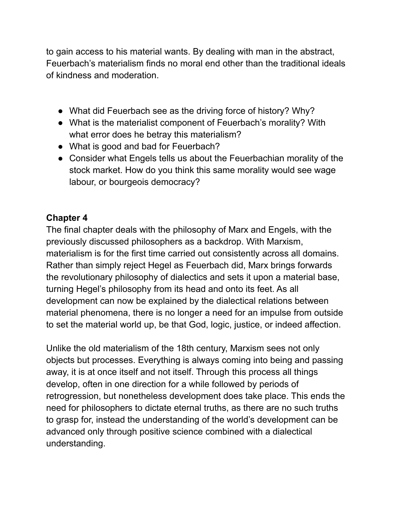to gain access to his material wants. By dealing with man in the abstract, Feuerbach's materialism finds no moral end other than the traditional ideals of kindness and moderation.

- What did Feuerbach see as the driving force of history? Why?
- What is the materialist component of Feuerbach's morality? With what error does he betray this materialism?
- What is good and bad for Feuerbach?
- Consider what Engels tells us about the Feuerbachian morality of the stock market. How do you think this same morality would see wage labour, or bourgeois democracy?

## **Chapter 4**

The final chapter deals with the philosophy of Marx and Engels, with the previously discussed philosophers as a backdrop. With Marxism, materialism is for the first time carried out consistently across all domains. Rather than simply reject Hegel as Feuerbach did, Marx brings forwards the revolutionary philosophy of dialectics and sets it upon a material base, turning Hegel's philosophy from its head and onto its feet. As all development can now be explained by the dialectical relations between material phenomena, there is no longer a need for an impulse from outside to set the material world up, be that God, logic, justice, or indeed affection.

Unlike the old materialism of the 18th century, Marxism sees not only objects but processes. Everything is always coming into being and passing away, it is at once itself and not itself. Through this process all things develop, often in one direction for a while followed by periods of retrogression, but nonetheless development does take place. This ends the need for philosophers to dictate eternal truths, as there are no such truths to grasp for, instead the understanding of the world's development can be advanced only through positive science combined with a dialectical understanding.